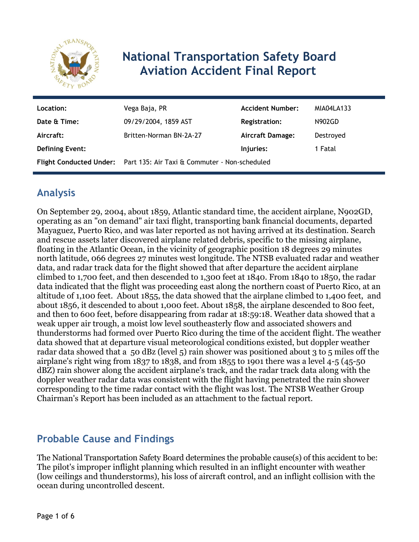

# **National Transportation Safety Board Aviation Accident Final Report**

| Location:              | Vega Baja, PR                                                         | <b>Accident Number:</b> | MIA04LA133    |
|------------------------|-----------------------------------------------------------------------|-------------------------|---------------|
| Date & Time:           | 09/29/2004, 1859 AST                                                  | <b>Registration:</b>    | <b>N902GD</b> |
| Aircraft:              | Britten-Norman BN-2A-27                                               | Aircraft Damage:        | Destroyed     |
| <b>Defining Event:</b> |                                                                       | Injuries:               | 1 Fatal       |
|                        | Flight Conducted Under: Part 135: Air Taxi & Commuter - Non-scheduled |                         |               |

### **Analysis**

On September 29, 2004, about 1859, Atlantic standard time, the accident airplane, N902GD, operating as an "on demand" air taxi flight, transporting bank financial documents, departed Mayaguez, Puerto Rico, and was later reported as not having arrived at its destination. Search and rescue assets later discovered airplane related debris, specific to the missing airplane, floating in the Atlantic Ocean, in the vicinity of geographic position 18 degrees 29 minutes north latitude, 066 degrees 27 minutes west longitude. The NTSB evaluated radar and weather data, and radar track data for the flight showed that after departure the accident airplane climbed to 1,700 feet, and then descended to 1,300 feet at 1840. From 1840 to 1850, the radar data indicated that the flight was proceeding east along the northern coast of Puerto Rico, at an altitude of 1,100 feet. About 1855, the data showed that the airplane climbed to 1,400 feet, and about 1856, it descended to about 1,000 feet. About 1858, the airplane descended to 800 feet, and then to 600 feet, before disappearing from radar at 18:59:18. Weather data showed that a weak upper air trough, a moist low level southeasterly flow and associated showers and thunderstorms had formed over Puerto Rico during the time of the accident flight. The weather data showed that at departure visual meteorological conditions existed, but doppler weather radar data showed that a 50 dBz (level 5) rain shower was positioned about 3 to 5 miles off the airplane's right wing from 1837 to 1838, and from 1855 to 1901 there was a level 4-5 (45-50 dBZ) rain shower along the accident airplane's track, and the radar track data along with the doppler weather radar data was consistent with the flight having penetrated the rain shower corresponding to the time radar contact with the flight was lost. The NTSB Weather Group Chairman's Report has been included as an attachment to the factual report.

## **Probable Cause and Findings**

The National Transportation Safety Board determines the probable cause(s) of this accident to be: The pilot's improper inflight planning which resulted in an inflight encounter with weather (low ceilings and thunderstorms), his loss of aircraft control, and an inflight collision with the ocean during uncontrolled descent.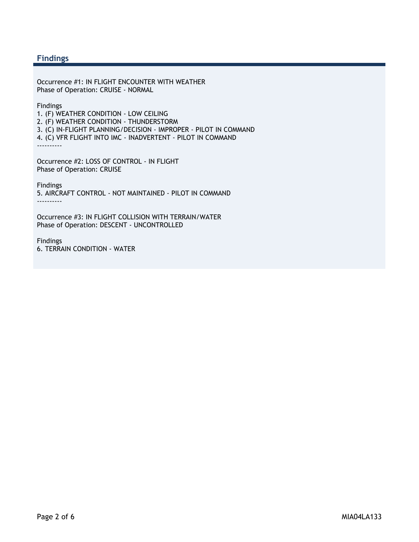#### **Findings**

Occurrence #1: IN FLIGHT ENCOUNTER WITH WEATHER Phase of Operation: CRUISE - NORMAL

Findings

1. (F) WEATHER CONDITION - LOW CEILING

2. (F) WEATHER CONDITION - THUNDERSTORM

3. (C) IN-FLIGHT PLANNING/DECISION - IMPROPER - PILOT IN COMMAND

4. (C) VFR FLIGHT INTO IMC - INADVERTENT - PILOT IN COMMAND

----------

Occurrence #2: LOSS OF CONTROL - IN FLIGHT Phase of Operation: CRUISE

Findings 5. AIRCRAFT CONTROL - NOT MAINTAINED - PILOT IN COMMAND ----------

Occurrence #3: IN FLIGHT COLLISION WITH TERRAIN/WATER Phase of Operation: DESCENT - UNCONTROLLED

Findings 6. TERRAIN CONDITION - WATER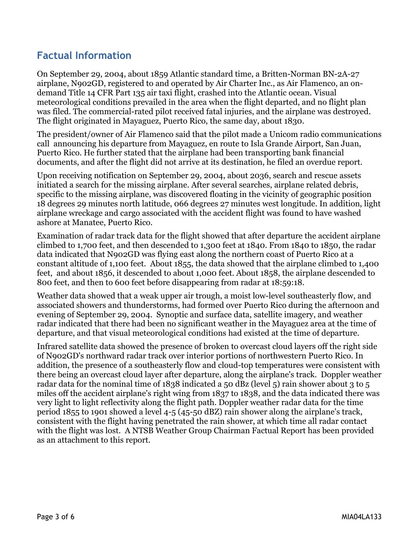### **Factual Information**

On September 29, 2004, about 1859 Atlantic standard time, a Britten-Norman BN-2A-27 airplane, N902GD, registered to and operated by Air Charter Inc., as Air Flamenco, an ondemand Title 14 CFR Part 135 air taxi flight, crashed into the Atlantic ocean. Visual meteorological conditions prevailed in the area when the flight departed, and no flight plan was filed. The commercial-rated pilot received fatal injuries, and the airplane was destroyed. The flight originated in Mayaguez, Puerto Rico, the same day, about 1830.

The president/owner of Air Flamenco said that the pilot made a Unicom radio communications call announcing his departure from Mayaguez, en route to Isla Grande Airport, San Juan, Puerto Rico. He further stated that the airplane had been transporting bank financial documents, and after the flight did not arrive at its destination, he filed an overdue report.

Upon receiving notification on September 29, 2004, about 2036, search and rescue assets initiated a search for the missing airplane. After several searches, airplane related debris, specific to the missing airplane, was discovered floating in the vicinity of geographic position 18 degrees 29 minutes north latitude, 066 degrees 27 minutes west longitude. In addition, light airplane wreckage and cargo associated with the accident flight was found to have washed ashore at Manatee, Puerto Rico.

Examination of radar track data for the flight showed that after departure the accident airplane climbed to 1,700 feet, and then descended to 1,300 feet at 1840. From 1840 to 1850, the radar data indicated that N902GD was flying east along the northern coast of Puerto Rico at a constant altitude of 1,100 feet. About 1855, the data showed that the airplane climbed to 1,400 feet, and about 1856, it descended to about 1,000 feet. About 1858, the airplane descended to 800 feet, and then to 600 feet before disappearing from radar at 18:59:18.

Weather data showed that a weak upper air trough, a moist low-level southeasterly flow, and associated showers and thunderstorms, had formed over Puerto Rico during the afternoon and evening of September 29, 2004. Synoptic and surface data, satellite imagery, and weather radar indicated that there had been no significant weather in the Mayaguez area at the time of departure, and that visual meteorological conditions had existed at the time of departure.

Infrared satellite data showed the presence of broken to overcast cloud layers off the right side of N902GD's northward radar track over interior portions of northwestern Puerto Rico. In addition, the presence of a southeasterly flow and cloud-top temperatures were consistent with there being an overcast cloud layer after departure, along the airplane's track. Doppler weather radar data for the nominal time of 1838 indicated a 50 dBz (level 5) rain shower about 3 to 5 miles off the accident airplane's right wing from 1837 to 1838, and the data indicated there was very light to light reflectivity along the flight path. Doppler weather radar data for the time period 1855 to 1901 showed a level 4-5 (45-50 dBZ) rain shower along the airplane's track, consistent with the flight having penetrated the rain shower, at which time all radar contact with the flight was lost. A NTSB Weather Group Chairman Factual Report has been provided as an attachment to this report.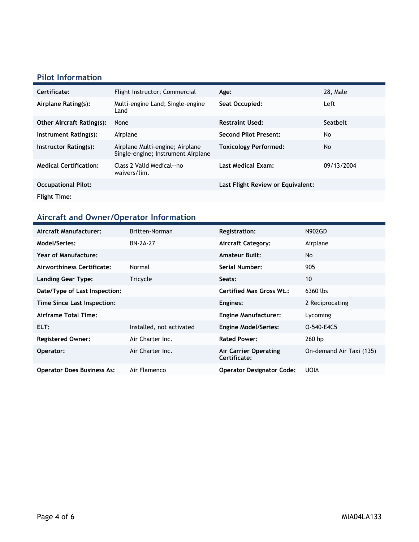#### **Pilot Information**

| Certificate:                     | Flight Instructor; Commercial                                         | Age:                              | 28. Male   |
|----------------------------------|-----------------------------------------------------------------------|-----------------------------------|------------|
| Airplane Rating(s):              | Multi-engine Land; Single-engine<br>Land                              | Seat Occupied:                    | Left       |
| <b>Other Aircraft Rating(s):</b> | None                                                                  | <b>Restraint Used:</b>            | Seatbelt   |
| Instrument Rating(s):            | Airplane                                                              | <b>Second Pilot Present:</b>      | No         |
| Instructor Rating(s):            | Airplane Multi-engine; Airplane<br>Single-engine; Instrument Airplane | <b>Toxicology Performed:</b>      | No         |
| <b>Medical Certification:</b>    | Class 2 Valid Medical--no<br>waivers/lim.                             | <b>Last Medical Exam:</b>         | 09/13/2004 |
| <b>Occupational Pilot:</b>       |                                                                       | Last Flight Review or Equivalent: |            |
| <b>Flight Time:</b>              |                                                                       |                                   |            |

## **Aircraft and Owner/Operator Information**

| Aircraft Manufacturer:            | Britten-Norman           | <b>Registration:</b>                  | <b>N902GD</b>            |
|-----------------------------------|--------------------------|---------------------------------------|--------------------------|
| Model/Series:                     | <b>BN-2A-27</b>          | <b>Aircraft Category:</b>             | Airplane                 |
| <b>Year of Manufacture:</b>       |                          | <b>Amateur Built:</b>                 | <b>No</b>                |
| Airworthiness Certificate:        | Normal                   | Serial Number:                        | 905                      |
| Landing Gear Type:                | Tricycle                 | Seats:                                | 10                       |
| Date/Type of Last Inspection:     |                          | <b>Certified Max Gross Wt.:</b>       | 6360 lbs                 |
| Time Since Last Inspection:       |                          | Engines:                              | 2 Reciprocating          |
| Airframe Total Time:              |                          | <b>Engine Manufacturer:</b>           | Lycoming                 |
| ELT:                              | Installed, not activated | <b>Engine Model/Series:</b>           | O-540-E4C5               |
| <b>Registered Owner:</b>          | Air Charter Inc.         | <b>Rated Power:</b>                   | 260 hp                   |
| Operator:                         | Air Charter Inc.         | Air Carrier Operating<br>Certificate: | On-demand Air Taxi (135) |
| <b>Operator Does Business As:</b> | Air Flamenco             | <b>Operator Designator Code:</b>      | <b>UOIA</b>              |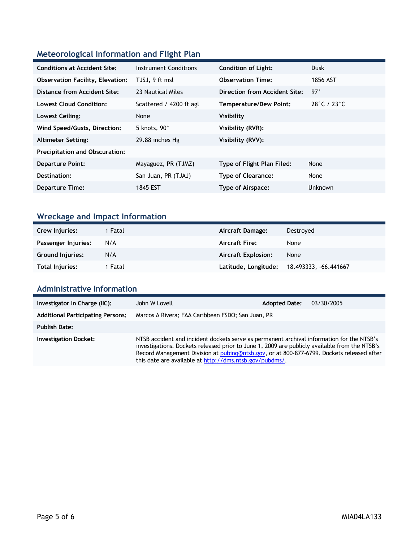### **Meteorological Information and Flight Plan**

| <b>Conditions at Accident Site:</b>     | Instrument Conditions   | <b>Condition of Light:</b>    | <b>Dusk</b>                      |
|-----------------------------------------|-------------------------|-------------------------------|----------------------------------|
| <b>Observation Facility, Elevation:</b> | TJSJ, 9 ft msl          | <b>Observation Time:</b>      | 1856 AST                         |
| Distance from Accident Site:            | 23 Nautical Miles       | Direction from Accident Site: | 97°                              |
| Lowest Cloud Condition:                 | Scattered / 4200 ft agl | Temperature/Dew Point:        | $28^{\circ}$ C / 23 $^{\circ}$ C |
| Lowest Ceiling:                         | None                    | Visibility                    |                                  |
| Wind Speed/Gusts, Direction:            | 5 knots, 90°            | Visibility (RVR):             |                                  |
| <b>Altimeter Setting:</b>               | 29.88 inches Hg         | Visibility (RVV):             |                                  |
| <b>Precipitation and Obscuration:</b>   |                         |                               |                                  |
| <b>Departure Point:</b>                 | Mayaguez, PR (TJMZ)     | Type of Flight Plan Filed:    | None                             |
| Destination:                            | San Juan, PR (TJAJ)     | <b>Type of Clearance:</b>     | None                             |
| <b>Departure Time:</b>                  | 1845 EST                | Type of Airspace:             | <b>Unknown</b>                   |

### **Wreckage and Impact Information**

| Crew Injuries:          | 1 Fatal | <b>Aircraft Damage:</b>    | Destroved             |
|-------------------------|---------|----------------------------|-----------------------|
| Passenger Injuries:     | N/A     | <b>Aircraft Fire:</b>      | None                  |
| <b>Ground Injuries:</b> | N/A     | <b>Aircraft Explosion:</b> | None                  |
| Total Injuries:         | 1 Fatal | Latitude, Longitude:       | 18.493333, -66.441667 |

#### **Administrative Information**

| Investigator In Charge (IIC):            | John W Lovell                                                                                                                                                                                                                                                                                                                                      | <b>Adopted Date:</b> | 03/30/2005 |
|------------------------------------------|----------------------------------------------------------------------------------------------------------------------------------------------------------------------------------------------------------------------------------------------------------------------------------------------------------------------------------------------------|----------------------|------------|
| <b>Additional Participating Persons:</b> | Marcos A Rivera; FAA Caribbean FSDO; San Juan, PR                                                                                                                                                                                                                                                                                                  |                      |            |
| <b>Publish Date:</b>                     |                                                                                                                                                                                                                                                                                                                                                    |                      |            |
| <b>Investigation Docket:</b>             | NTSB accident and incident dockets serve as permanent archival information for the NTSB's<br>investigations. Dockets released prior to June 1, 2009 are publicly available from the NTSB's<br>Record Management Division at pubing@ntsb.gov, or at 800-877-6799. Dockets released after<br>this date are available at http://dms.ntsb.gov/pubdms/. |                      |            |